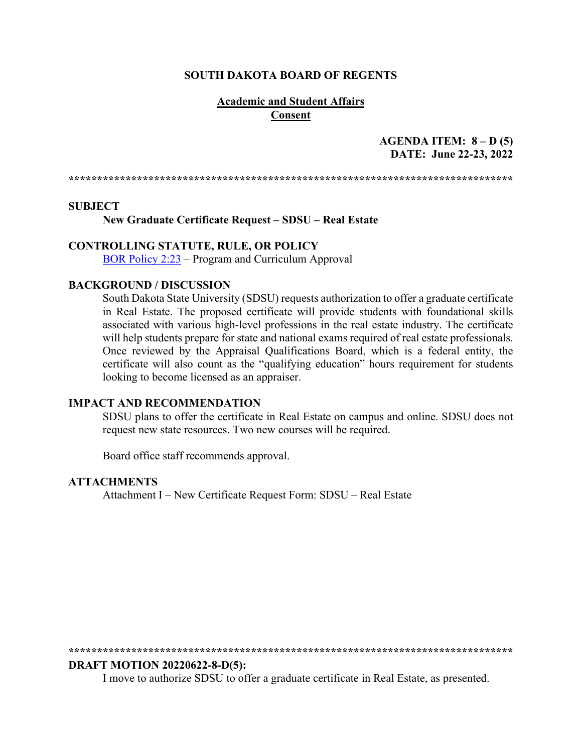#### **SOUTH DAKOTA BOARD OF REGENTS**

#### **Academic and Student Affairs Consent**

# **AGENDA ITEM: 8 – D (5) DATE: June 22-23, 2022**

**\*\*\*\*\*\*\*\*\*\*\*\*\*\*\*\*\*\*\*\*\*\*\*\*\*\*\*\*\*\*\*\*\*\*\*\*\*\*\*\*\*\*\*\*\*\*\*\*\*\*\*\*\*\*\*\*\*\*\*\*\*\*\*\*\*\*\*\*\*\*\*\*\*\*\*\*\*\***

#### **SUBJECT**

**New Graduate Certificate Request – SDSU – Real Estate**

#### **CONTROLLING STATUTE, RULE, OR POLICY**

[BOR Policy 2:23](https://www.sdbor.edu/policy/Documents/2-23.pdf) – Program and Curriculum Approval

#### **BACKGROUND / DISCUSSION**

South Dakota State University (SDSU) requests authorization to offer a graduate certificate in Real Estate. The proposed certificate will provide students with foundational skills associated with various high-level professions in the real estate industry. The certificate will help students prepare for state and national exams required of real estate professionals. Once reviewed by the Appraisal Qualifications Board, which is a federal entity, the certificate will also count as the "qualifying education" hours requirement for students looking to become licensed as an appraiser.

#### **IMPACT AND RECOMMENDATION**

SDSU plans to offer the certificate in Real Estate on campus and online. SDSU does not request new state resources. Two new courses will be required.

Board office staff recommends approval.

#### **ATTACHMENTS**

Attachment I – New Certificate Request Form: SDSU – Real Estate

**\*\*\*\*\*\*\*\*\*\*\*\*\*\*\*\*\*\*\*\*\*\*\*\*\*\*\*\*\*\*\*\*\*\*\*\*\*\*\*\*\*\*\*\*\*\*\*\*\*\*\*\*\*\*\*\*\*\*\*\*\*\*\*\*\*\*\*\*\*\*\*\*\*\*\*\*\*\*** 

#### **DRAFT MOTION 20220622-8-D(5):**

I move to authorize SDSU to offer a graduate certificate in Real Estate, as presented.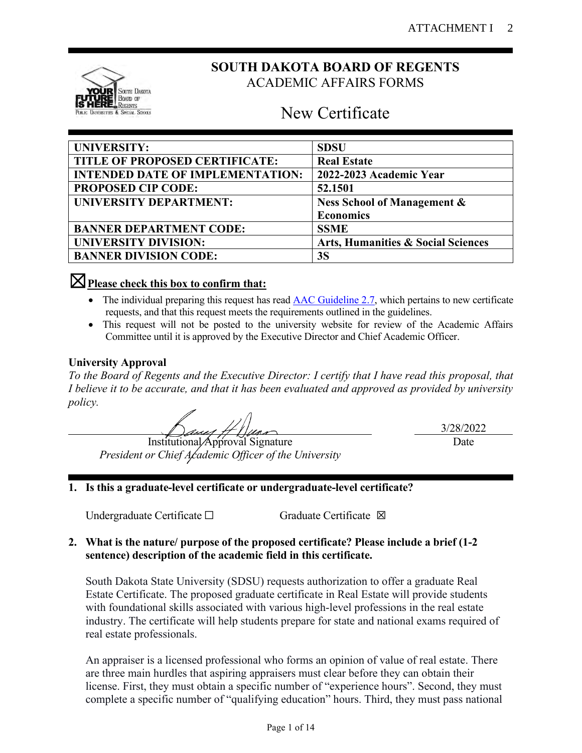

# **SOUTH DAKOTA BOARD OF REGENTS** ACADEMIC AFFAIRS FORMS

# New Certificate

| <b>UNIVERSITY:</b>                      | <b>SDSU</b>                                   |
|-----------------------------------------|-----------------------------------------------|
| TITLE OF PROPOSED CERTIFICATE:          | <b>Real Estate</b>                            |
| <b>INTENDED DATE OF IMPLEMENTATION:</b> | 2022-2023 Academic Year                       |
| <b>PROPOSED CIP CODE:</b>               | 52.1501                                       |
| <b>UNIVERSITY DEPARTMENT:</b>           | <b>Ness School of Management &amp;</b>        |
|                                         | <b>Economics</b>                              |
| <b>BANNER DEPARTMENT CODE:</b>          | <b>SSME</b>                                   |
| <b>UNIVERSITY DIVISION:</b>             | <b>Arts, Humanities &amp; Social Sciences</b> |
| <b>BANNER DIVISION CODE:</b>            | 3S                                            |

# ☒**Please check this box to confirm that:**

- The individual preparing this request has read [AAC Guideline 2.7,](https://www.sdbor.edu/administrative-offices/academics/academic-affairs-guidelines/Documents/2_Guidelines/2_7_Guideline.pdf) which pertains to new certificate requests, and that this request meets the requirements outlined in the guidelines.
- This request will not be posted to the university website for review of the Academic Affairs Committee until it is approved by the Executive Director and Chief Academic Officer.

# **University Approval**

*To the Board of Regents and the Executive Director: I certify that I have read this proposal, that I believe it to be accurate, and that it has been evaluated and approved as provided by university policy.*

11 April 11 Mars 11 Mars 11 Mars 11 Mars 11 Mars 11 Mars 11 Mars 11 Mars 11 Mars 11 Mars 11 Mars 11 Mars 11 Ma

*President or Chief Academic Officer of the University*

3/28/2022 Date

# **1. Is this a graduate-level certificate or undergraduate-level certificate?**

Undergraduate Certificate □ Graduate Certificate ⊠

# **2. What is the nature/ purpose of the proposed certificate? Please include a brief (1-2 sentence) description of the academic field in this certificate.**

South Dakota State University (SDSU) requests authorization to offer a graduate Real Estate Certificate. The proposed graduate certificate in Real Estate will provide students with foundational skills associated with various high-level professions in the real estate industry. The certificate will help students prepare for state and national exams required of real estate professionals.

An appraiser is a licensed professional who forms an opinion of value of real estate. There are three main hurdles that aspiring appraisers must clear before they can obtain their license. First, they must obtain a specific number of "experience hours". Second, they must complete a specific number of "qualifying education" hours. Third, they must pass national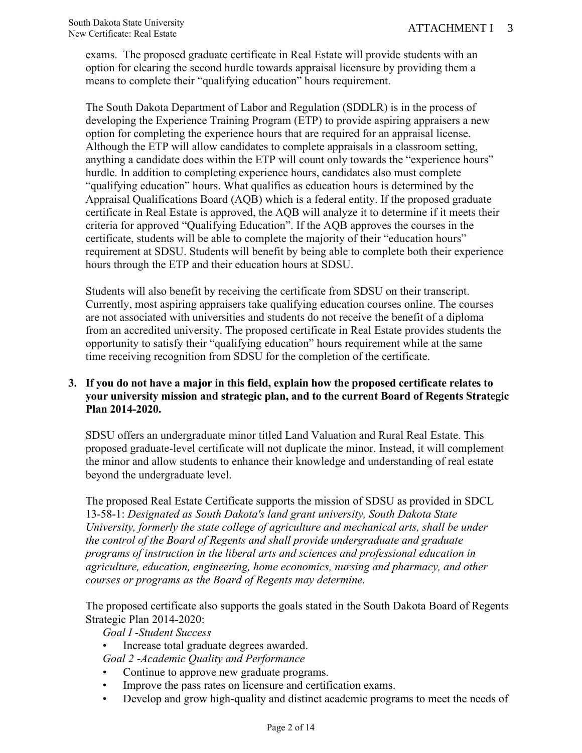exams. The proposed graduate certificate in Real Estate will provide students with an option for clearing the second hurdle towards appraisal licensure by providing them a means to complete their "qualifying education" hours requirement.

The South Dakota Department of Labor and Regulation (SDDLR) is in the process of developing the Experience Training Program (ETP) to provide aspiring appraisers a new option for completing the experience hours that are required for an appraisal license. Although the ETP will allow candidates to complete appraisals in a classroom setting, anything a candidate does within the ETP will count only towards the "experience hours" hurdle. In addition to completing experience hours, candidates also must complete "qualifying education" hours. What qualifies as education hours is determined by the Appraisal Qualifications Board (AQB) which is a federal entity. If the proposed graduate certificate in Real Estate is approved, the AQB will analyze it to determine if it meets their criteria for approved "Qualifying Education". If the AQB approves the courses in the certificate, students will be able to complete the majority of their "education hours" requirement at SDSU. Students will benefit by being able to complete both their experience hours through the ETP and their education hours at SDSU.

Students will also benefit by receiving the certificate from SDSU on their transcript. Currently, most aspiring appraisers take qualifying education courses online. The courses are not associated with universities and students do not receive the benefit of a diploma from an accredited university. The proposed certificate in Real Estate provides students the opportunity to satisfy their "qualifying education" hours requirement while at the same time receiving recognition from SDSU for the completion of the certificate.

# **3. If you do not have a major in this field, explain how the proposed certificate relates to your university mission and strategic plan, and to the current Board of Regents Strategic Plan 2014-2020.**

SDSU offers an undergraduate minor titled Land Valuation and Rural Real Estate. This proposed graduate-level certificate will not duplicate the minor. Instead, it will complement the minor and allow students to enhance their knowledge and understanding of real estate beyond the undergraduate level.

The proposed Real Estate Certificate supports the mission of SDSU as provided in SDCL 13-58-1: *Designated as South Dakota's land grant university, South Dakota State University, formerly the state college of agriculture and mechanical arts, shall be under the control of the Board of Regents and shall provide undergraduate and graduate programs of instruction in the liberal arts and sciences and professional education in agriculture, education, engineering, home economics, nursing and pharmacy, and other courses or programs as the Board of Regents may determine.*

The proposed certificate also supports the goals stated in the South Dakota Board of Regents Strategic Plan 2014-2020:

*Goal I* -*Student Success* 

• Increase total graduate degrees awarded.

*Goal 2* -*Academic Quality and Performance* 

- Continue to approve new graduate programs.
- Improve the pass rates on licensure and certification exams.
- Develop and grow high-quality and distinct academic programs to meet the needs of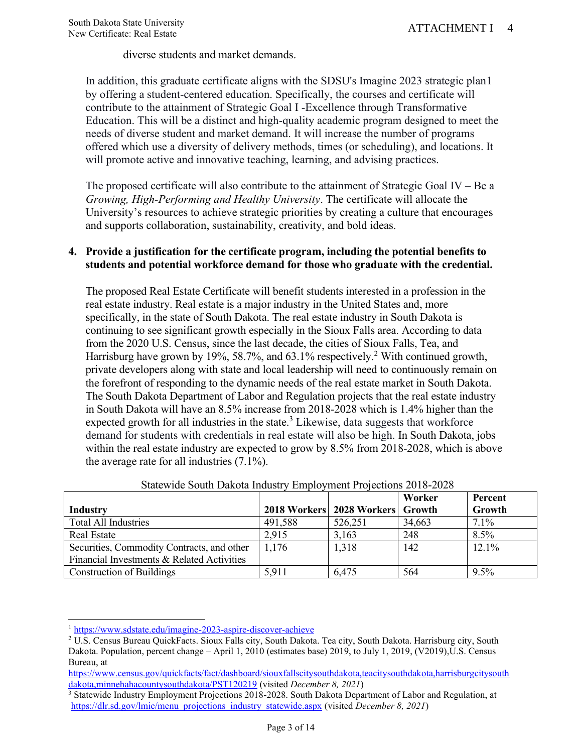diverse students and market demands.

In addition, this graduate certificate aligns with the SDSU's Imagine 2023 strategic plan1 by offering a student-centered education. Specifically, the courses and certificate will contribute to the attainment of Strategic Goal I -Excellence through Transformative Education. This will be a distinct and high-quality academic program designed to meet the needs of diverse student and market demand. It will increase the number of programs offered which use a diversity of delivery methods, times (or scheduling), and locations. It will promote active and innovative teaching, learning, and advising practices.

The proposed certificate will also contribute to the attainment of Strategic Goal IV – Be a *Growing, High-Performing and Healthy University*. The certificate will allocate the University's resources to achieve strategic priorities by creating a culture that encourages and supports collaboration, sustainability, creativity, and bold ideas.

## **4. Provide a justification for the certificate program, including the potential benefits to students and potential workforce demand for those who graduate with the credential.**

The proposed Real Estate Certificate will benefit students interested in a profession in the real estate industry. Real estate is a major industry in the United States and, more specifically, in the state of South Dakota. The real estate industry in South Dakota is continuing to see significant growth especially in the Sioux Falls area. According to data from the 2020 U.S. Census, since the last decade, the cities of Sioux Falls, Tea, and Harrisburg have grown by 19%, 58.7%, and  $63.1\%$  respectively.<sup>2</sup> With continued growth, private developers along with state and local leadership will need to continuously remain on the forefront of responding to the dynamic needs of the real estate market in South Dakota. The South Dakota Department of Labor and Regulation projects that the real estate industry in South Dakota will have an 8.5% increase from 2018-2028 which is 1.4% higher than the expected growth for all industries in the state.<sup>3</sup> Likewise, data suggests that workforce demand for students with credentials in real estate will also be high. In South Dakota, jobs within the real estate industry are expected to grow by 8.5% from 2018-2028, which is above the average rate for all industries (7.1%).

|                                            |         |                                  | Worker | Percent  |
|--------------------------------------------|---------|----------------------------------|--------|----------|
| Industry                                   |         | 2018 Workers 2028 Workers Growth |        | Growth   |
| <b>Total All Industries</b>                | 491,588 | 526,251                          | 34,663 | $7.1\%$  |
| <b>Real Estate</b>                         | 2,915   | 3,163                            | 248    | 8.5%     |
| Securities, Commodity Contracts, and other | 1,176   | 1,318                            | 142    | $12.1\%$ |
| Financial Investments & Related Activities |         |                                  |        |          |
| <b>Construction of Buildings</b>           | 5,911   | 6,475                            | 564    | $9.5\%$  |

<sup>1</sup> <https://www.sdstate.edu/imagine-2023-aspire-discover-achieve>

<sup>2</sup> U.S. Census Bureau QuickFacts. Sioux Falls city, South Dakota. Tea city, South Dakota. Harrisburg city, South Dakota. Population, percent change – April 1, 2010 (estimates base) 2019, to July 1, 2019, (V2019),U.S. Census Bureau, at

[https://www.census.gov/quickfacts/fact/dashboard/siouxfallscitysouthdakota,teacitysouthdakota,harrisburgcitysouth](https://www.census.gov/quickfacts/fact/dashboard/siouxfallscitysouthdakota,teacitysouthdakota,harrisburgcitysouthdakota,minnehahacountysouthdakota/PST120219) [dakota,minnehahacountysouthdakota/PST120219](https://www.census.gov/quickfacts/fact/dashboard/siouxfallscitysouthdakota,teacitysouthdakota,harrisburgcitysouthdakota,minnehahacountysouthdakota/PST120219) (visited *December 8, 2021*)

<sup>&</sup>lt;sup>3</sup> Statewide Industry Employment Projections 2018-2028. South Dakota Department of Labor and Regulation, at [https://dlr.sd.gov/lmic/menu\\_projections\\_industry\\_statewide.aspx](https://dlr.sd.gov/lmic/menu_projections_industry_statewide.aspx) (visited *December 8, 2021*)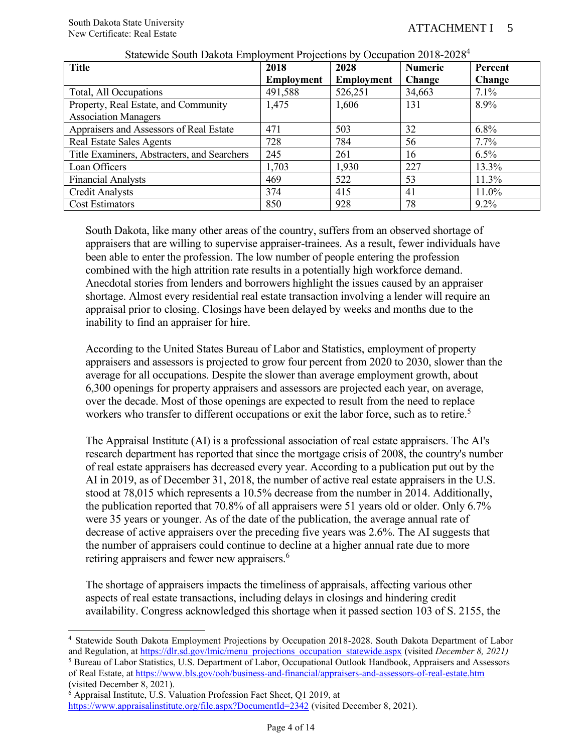| <b>Title</b>                                | 2018              | 2028              | <b>Numeric</b> | Percent |
|---------------------------------------------|-------------------|-------------------|----------------|---------|
|                                             | <b>Employment</b> | <b>Employment</b> | <b>Change</b>  | Change  |
| Total, All Occupations                      | 491,588           | 526,251           | 34,663         | 7.1%    |
| Property, Real Estate, and Community        | 1,475             | 1,606             | 131            | 8.9%    |
| <b>Association Managers</b>                 |                   |                   |                |         |
| Appraisers and Assessors of Real Estate     | 471               | 503               | 32             | $6.8\%$ |
| Real Estate Sales Agents                    | 728               | 784               | 56             | $7.7\%$ |
| Title Examiners, Abstracters, and Searchers | 245               | 261               | 16             | $6.5\%$ |
| Loan Officers                               | 1,703             | 1,930             | 227            | 13.3%   |
| <b>Financial Analysts</b>                   | 469               | 522               | 53             | 11.3%   |
| <b>Credit Analysts</b>                      | 374               | 415               | 41             | 11.0%   |
| <b>Cost Estimators</b>                      | 850               | 928               | 78             | $9.2\%$ |

#### Statewide South Dakota Employment Projections by Occupation 2018-2028<sup>4</sup>

South Dakota, like many other areas of the country, suffers from an observed shortage of appraisers that are willing to supervise appraiser-trainees. As a result, fewer individuals have been able to enter the profession. The low number of people entering the profession combined with the high attrition rate results in a potentially high workforce demand. Anecdotal stories from lenders and borrowers highlight the issues caused by an appraiser shortage. Almost every residential real estate transaction involving a lender will require an appraisal prior to closing. Closings have been delayed by weeks and months due to the inability to find an appraiser for hire.

According to the United States Bureau of Labor and Statistics, employment of property appraisers and assessors is projected to grow four percent from 2020 to 2030, slower than the average for all occupations. Despite the slower than average employment growth, about 6,300 openings for property appraisers and assessors are projected each year, on average, over the decade. Most of those openings are expected to result from the need to replace workers who transfer to different occupations or exit the labor force, such as to retire.<sup>5</sup>

The Appraisal Institute (AI) is a professional association of real estate appraisers. The AI's research department has reported that since the mortgage crisis of 2008, the country's number of real estate appraisers has decreased every year. According to a publication put out by the AI in 2019, as of December 31, 2018, the number of active real estate appraisers in the U.S. stood at 78,015 which represents a 10.5% decrease from the number in 2014. Additionally, the publication reported that 70.8% of all appraisers were 51 years old or older. Only 6.7% were 35 years or younger. As of the date of the publication, the average annual rate of decrease of active appraisers over the preceding five years was 2.6%. The AI suggests that the number of appraisers could continue to decline at a higher annual rate due to more retiring appraisers and fewer new appraisers.<sup>6</sup>

The shortage of appraisers impacts the timeliness of appraisals, affecting various other aspects of real estate transactions, including delays in closings and hindering credit availability. Congress acknowledged this shortage when it passed section 103 of S. 2155, the

<sup>4</sup> Statewide South Dakota Employment Projections by Occupation 2018-2028. South Dakota Department of Labor and Regulation, a[t https://dlr.sd.gov/lmic/menu\\_projections\\_occupation\\_statewide.aspx](https://dlr.sd.gov/lmic/menu_projections_occupation_statewide.aspx) (visited *December 8, 2021)* 

<sup>5</sup> Bureau of Labor Statistics, U.S. Department of Labor, Occupational Outlook Handbook, Appraisers and Assessors of Real Estate, at<https://www.bls.gov/ooh/business-and-financial/appraisers-and-assessors-of-real-estate.htm> (visited December 8, 2021).

<sup>6</sup> Appraisal Institute, U.S. Valuation Profession Fact Sheet, Q1 2019, at

<https://www.appraisalinstitute.org/file.aspx?DocumentId=2342> (visited December 8, 2021).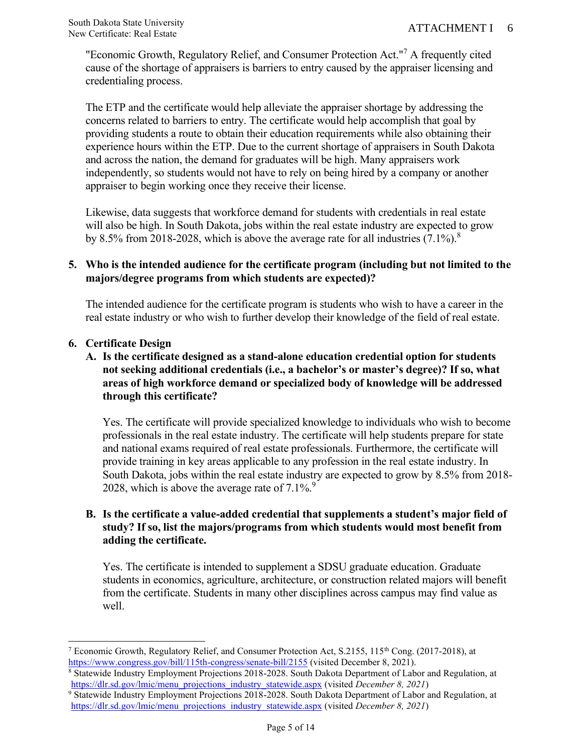"Economic Growth, Regulatory Relief, and Consumer Protection Act."<sup>7</sup> A frequently cited cause of the shortage of appraisers is barriers to entry caused by the appraiser licensing and credentialing process.

The ETP and the certificate would help alleviate the appraiser shortage by addressing the concerns related to barriers to entry. The certificate would help accomplish that goal by providing students a route to obtain their education requirements while also obtaining their experience hours within the ETP. Due to the current shortage of appraisers in South Dakota and across the nation, the demand for graduates will be high. Many appraisers work independently, so students would not have to rely on being hired by a company or another appraiser to begin working once they receive their license.

Likewise, data suggests that workforce demand for students with credentials in real estate will also be high. In South Dakota, jobs within the real estate industry are expected to grow by 8.5% from 2018-2028, which is above the average rate for all industries  $(7.1\%)$ .<sup>8</sup>

### **5. Who is the intended audience for the certificate program (including but not limited to the majors/degree programs from which students are expected)?**

The intended audience for the certificate program is students who wish to have a career in the real estate industry or who wish to further develop their knowledge of the field of real estate.

## **6. Certificate Design**

# **A. Is the certificate designed as a stand-alone education credential option for students not seeking additional credentials (i.e., a bachelor's or master's degree)? If so, what areas of high workforce demand or specialized body of knowledge will be addressed through this certificate?**

Yes. The certificate will provide specialized knowledge to individuals who wish to become professionals in the real estate industry. The certificate will help students prepare for state and national exams required of real estate professionals. Furthermore, the certificate will provide training in key areas applicable to any profession in the real estate industry. In South Dakota, jobs within the real estate industry are expected to grow by 8.5% from 2018- 2028, which is above the average rate of  $7.1\%$ .

# **B. Is the certificate a value-added credential that supplements a student's major field of study? If so, list the majors/programs from which students would most benefit from adding the certificate.**

Yes. The certificate is intended to supplement a SDSU graduate education. Graduate students in economics, agriculture, architecture, or construction related majors will benefit from the certificate. Students in many other disciplines across campus may find value as well.

<sup>&</sup>lt;sup>7</sup> Economic Growth, Regulatory Relief, and Consumer Protection Act, S.2155, 115<sup>th</sup> Cong. (2017-2018), at <https://www.congress.gov/bill/115th-congress/senate-bill/2155> (visited December 8, 2021).

<sup>8</sup> Statewide Industry Employment Projections 2018-2028. South Dakota Department of Labor and Regulation, at [https://dlr.sd.gov/lmic/menu\\_projections\\_industry\\_statewide.aspx](https://dlr.sd.gov/lmic/menu_projections_industry_statewide.aspx) (visited *December 8, 2021*)

<sup>9</sup> Statewide Industry Employment Projections 2018-2028. South Dakota Department of Labor and Regulation, at [https://dlr.sd.gov/lmic/menu\\_projections\\_industry\\_statewide.aspx](https://dlr.sd.gov/lmic/menu_projections_industry_statewide.aspx) (visited *December 8, 2021*)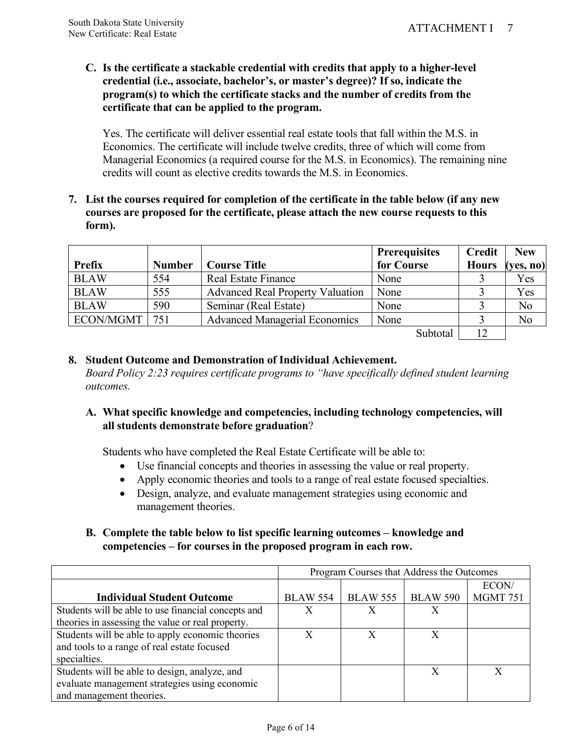**C. Is the certificate a stackable credential with credits that apply to a higher-level credential (i.e., associate, bachelor's, or master's degree)? If so, indicate the program(s) to which the certificate stacks and the number of credits from the certificate that can be applied to the program.**

Yes. The certificate will deliver essential real estate tools that fall within the M.S. in Economics. The certificate will include twelve credits, three of which will come from Managerial Economics (a required course for the M.S. in Economics). The remaining nine credits will count as elective credits towards the M.S. in Economics.

**7. List the courses required for completion of the certificate in the table below (if any new courses are proposed for the certificate, please attach the new course requests to this form).** 

|               |               |                                         | <b>Prerequisites</b>                                 | <b>Credit</b> | <b>New</b> |
|---------------|---------------|-----------------------------------------|------------------------------------------------------|---------------|------------|
| <b>Prefix</b> | <b>Number</b> | <b>Course Title</b>                     | for Course                                           | <b>Hours</b>  | (yes, no)  |
| <b>BLAW</b>   | 554           | <b>Real Estate Finance</b>              | None                                                 |               | Yes        |
| <b>BLAW</b>   | 555           | <b>Advanced Real Property Valuation</b> | None                                                 |               | Yes        |
| <b>BLAW</b>   | 590           | Seminar (Real Estate)                   | None                                                 |               | No         |
| ECON/MGMT     | 751           | <b>Advanced Managerial Economics</b>    | None                                                 |               | No         |
|               |               |                                         | $\mathcal{C}_{\mathbf{u}}$ $\mathbf{h}_{\mathbf{t}}$ | 12            |            |

 $\text{Subtotal}$   $12$  |

# **8. Student Outcome and Demonstration of Individual Achievement.**

*Board Policy 2:23 requires certificate programs to "have specifically defined student learning outcomes.* 

## **A. What specific knowledge and competencies, including technology competencies, will all students demonstrate before graduation**?

Students who have completed the Real Estate Certificate will be able to:

- Use financial concepts and theories in assessing the value or real property.
- Apply economic theories and tools to a range of real estate focused specialties.
- Design, analyze, and evaluate management strategies using economic and management theories.

## **B. Complete the table below to list specific learning outcomes – knowledge and competencies – for courses in the proposed program in each row.**

|                                                     | Program Courses that Address the Outcomes |                 |                 |                 |
|-----------------------------------------------------|-------------------------------------------|-----------------|-----------------|-----------------|
|                                                     |                                           |                 |                 | ECON/           |
| <b>Individual Student Outcome</b>                   | <b>BLAW 554</b>                           | <b>BLAW 555</b> | <b>BLAW 590</b> | <b>MGMT 751</b> |
| Students will be able to use financial concepts and | X                                         | X               | X               |                 |
| theories in assessing the value or real property.   |                                           |                 |                 |                 |
| Students will be able to apply economic theories    | X                                         | X               |                 |                 |
| and tools to a range of real estate focused         |                                           |                 |                 |                 |
| specialties.                                        |                                           |                 |                 |                 |
| Students will be able to design, analyze, and       |                                           |                 |                 |                 |
| evaluate management strategies using economic       |                                           |                 |                 |                 |
| and management theories.                            |                                           |                 |                 |                 |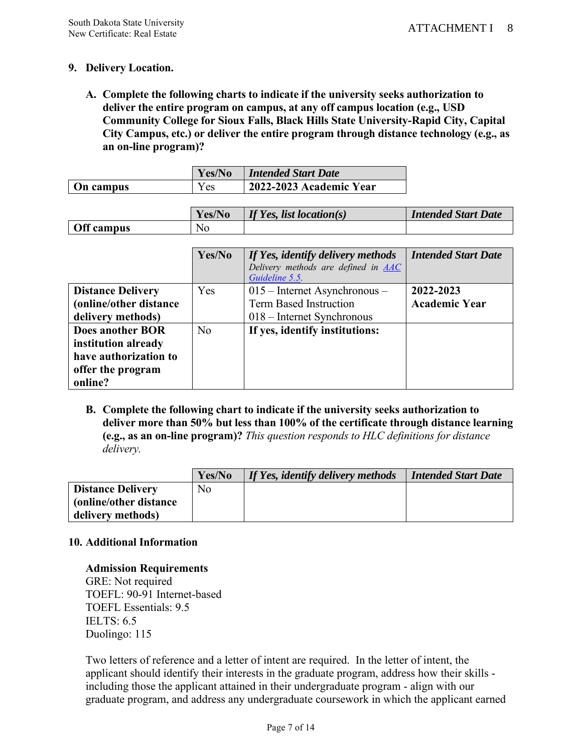# **9. Delivery Location.**

**A. Complete the following charts to indicate if the university seeks authorization to deliver the entire program on campus, at any off campus location (e.g., USD Community College for Sioux Falls, Black Hills State University-Rapid City, Capital City Campus, etc.) or deliver the entire program through distance technology (e.g., as an on-line program)?**

|                  | Yes/No   | <b>Intended Start Date</b> |  |
|------------------|----------|----------------------------|--|
| <b>On campus</b> | $v_{es}$ | 12022-2023 Academic Year   |  |

|            | Yes/No | If Yes, list location(s) | <b>Intended Start Date</b> |
|------------|--------|--------------------------|----------------------------|
| Off campus | No     |                          |                            |

|                          | Yes/No | If Yes, identify delivery methods<br>Delivery methods are defined in <b>AAC</b><br>Guideline 5.5 | <b>Intended Start Date</b> |
|--------------------------|--------|--------------------------------------------------------------------------------------------------|----------------------------|
| <b>Distance Delivery</b> | Yes    | $015$ – Internet Asynchronous –                                                                  | 2022-2023                  |
| (online/other distance   |        | <b>Term Based Instruction</b>                                                                    | <b>Academic Year</b>       |
| delivery methods)        |        | $018$ – Internet Synchronous                                                                     |                            |
| <b>Does another BOR</b>  | No     | If yes, identify institutions:                                                                   |                            |
| institution already      |        |                                                                                                  |                            |
| have authorization to    |        |                                                                                                  |                            |
| offer the program        |        |                                                                                                  |                            |
| online?                  |        |                                                                                                  |                            |

**B. Complete the following chart to indicate if the university seeks authorization to deliver more than 50% but less than 100% of the certificate through distance learning (e.g., as an on-line program)?** *This question responds to HLC definitions for distance delivery.*

|                                | Yes/No | If Yes, identify delivery methods | <b>Intended Start Date</b> |
|--------------------------------|--------|-----------------------------------|----------------------------|
| <b>Distance Delivery</b>       | No     |                                   |                            |
| <b>(online/other distance)</b> |        |                                   |                            |
| delivery methods)              |        |                                   |                            |

### **10. Additional Information**

#### **Admission Requirements**

GRE: Not required TOEFL: 90-91 Internet-based TOEFL Essentials: 9.5 IELTS: 6.5 Duolingo: 115

Two letters of reference and a letter of intent are required. In the letter of intent, the applicant should identify their interests in the graduate program, address how their skills including those the applicant attained in their undergraduate program - align with our graduate program, and address any undergraduate coursework in which the applicant earned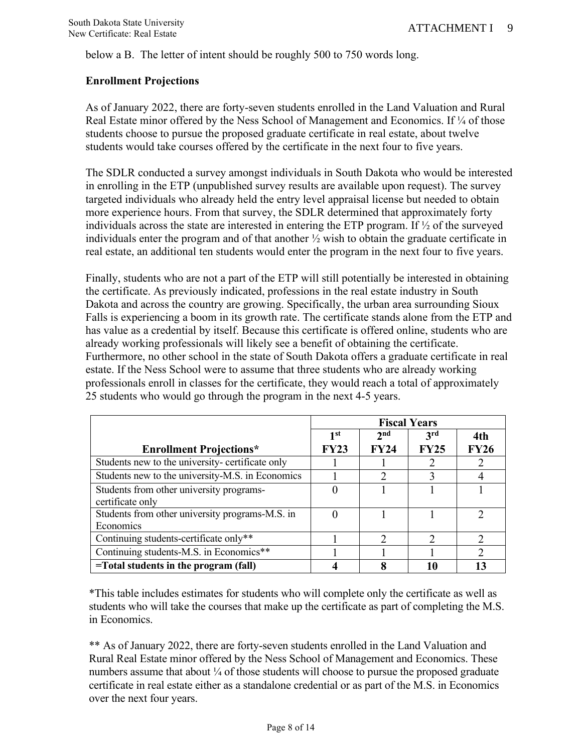below a B. The letter of intent should be roughly 500 to 750 words long.

# **Enrollment Projections**

As of January 2022, there are forty-seven students enrolled in the Land Valuation and Rural Real Estate minor offered by the Ness School of Management and Economics. If 1/4 of those students choose to pursue the proposed graduate certificate in real estate, about twelve students would take courses offered by the certificate in the next four to five years.

The SDLR conducted a survey amongst individuals in South Dakota who would be interested in enrolling in the ETP (unpublished survey results are available upon request). The survey targeted individuals who already held the entry level appraisal license but needed to obtain more experience hours. From that survey, the SDLR determined that approximately forty individuals across the state are interested in entering the ETP program. If ½ of the surveyed individuals enter the program and of that another ½ wish to obtain the graduate certificate in real estate, an additional ten students would enter the program in the next four to five years.

Finally, students who are not a part of the ETP will still potentially be interested in obtaining the certificate. As previously indicated, professions in the real estate industry in South Dakota and across the country are growing. Specifically, the urban area surrounding Sioux Falls is experiencing a boom in its growth rate. The certificate stands alone from the ETP and has value as a credential by itself. Because this certificate is offered online, students who are already working professionals will likely see a benefit of obtaining the certificate. Furthermore, no other school in the state of South Dakota offers a graduate certificate in real estate. If the Ness School were to assume that three students who are already working professionals enroll in classes for the certificate, they would reach a total of approximately 25 students who would go through the program in the next 4-5 years.

|                                                  | <b>Fiscal Years</b> |                 |             |               |
|--------------------------------------------------|---------------------|-----------------|-------------|---------------|
|                                                  | 1st                 | 2 <sub>nd</sub> | 3rd         | 4th           |
| <b>Enrollment Projections*</b>                   | <b>FY23</b>         | <b>FY24</b>     | <b>FY25</b> | <b>FY26</b>   |
| Students new to the university- certificate only |                     |                 |             | 2             |
| Students new to the university-M.S. in Economics |                     | 2               |             |               |
| Students from other university programs-         |                     |                 |             |               |
| certificate only                                 |                     |                 |             |               |
| Students from other university programs-M.S. in  |                     |                 |             | C             |
| Economics                                        |                     |                 |             |               |
| Continuing students-certificate only**           |                     | C               | ∍           | $\mathcal{D}$ |
| Continuing students-M.S. in Economics**          |                     |                 |             | っ             |
| $=$ Total students in the program (fall)         |                     |                 |             |               |

\*This table includes estimates for students who will complete only the certificate as well as students who will take the courses that make up the certificate as part of completing the M.S. in Economics.

\*\* As of January 2022, there are forty-seven students enrolled in the Land Valuation and Rural Real Estate minor offered by the Ness School of Management and Economics. These numbers assume that about <sup>1/4</sup> of those students will choose to pursue the proposed graduate certificate in real estate either as a standalone credential or as part of the M.S. in Economics over the next four years.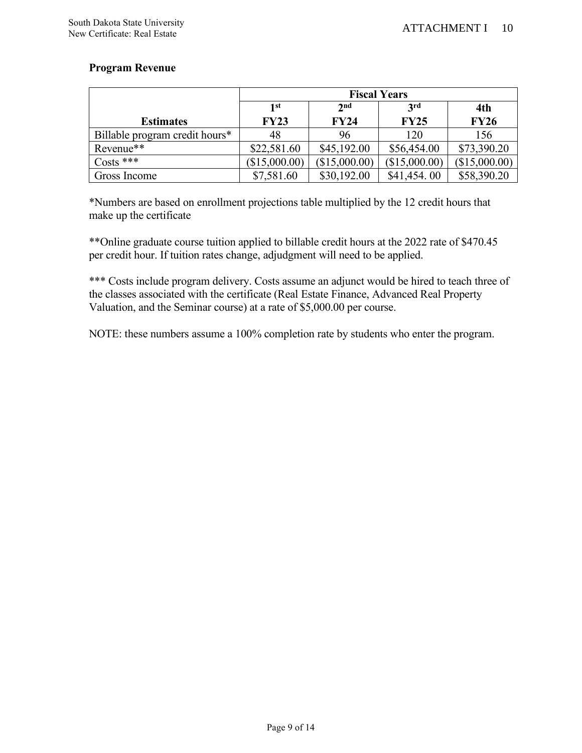# **Program Revenue**

|                                | <b>Fiscal Years</b> |                                           |               |               |  |  |  |
|--------------------------------|---------------------|-------------------------------------------|---------------|---------------|--|--|--|
|                                | 1st                 | 2 <sub>nd</sub><br>3 <sup>rd</sup><br>4th |               |               |  |  |  |
| <b>Estimates</b>               | <b>FY23</b>         | <b>FY24</b>                               | <b>FY25</b>   | <b>FY26</b>   |  |  |  |
| Billable program credit hours* | 48                  | 96                                        | 120           | 156           |  |  |  |
| Revenue**                      | \$22,581.60         | \$45,192.00                               | \$56,454.00   | \$73,390.20   |  |  |  |
| $\text{Costs}$ ***             | (\$15,000.00)       | (\$15,000.00)                             | (\$15,000.00) | (\$15,000.00) |  |  |  |
| Gross Income                   | \$7,581.60          | \$30,192.00                               | \$41,454.00   | \$58,390.20   |  |  |  |

\*Numbers are based on enrollment projections table multiplied by the 12 credit hours that make up the certificate

\*\*Online graduate course tuition applied to billable credit hours at the 2022 rate of \$470.45 per credit hour. If tuition rates change, adjudgment will need to be applied.

\*\*\* Costs include program delivery. Costs assume an adjunct would be hired to teach three of the classes associated with the certificate (Real Estate Finance, Advanced Real Property Valuation, and the Seminar course) at a rate of \$5,000.00 per course.

NOTE: these numbers assume a 100% completion rate by students who enter the program.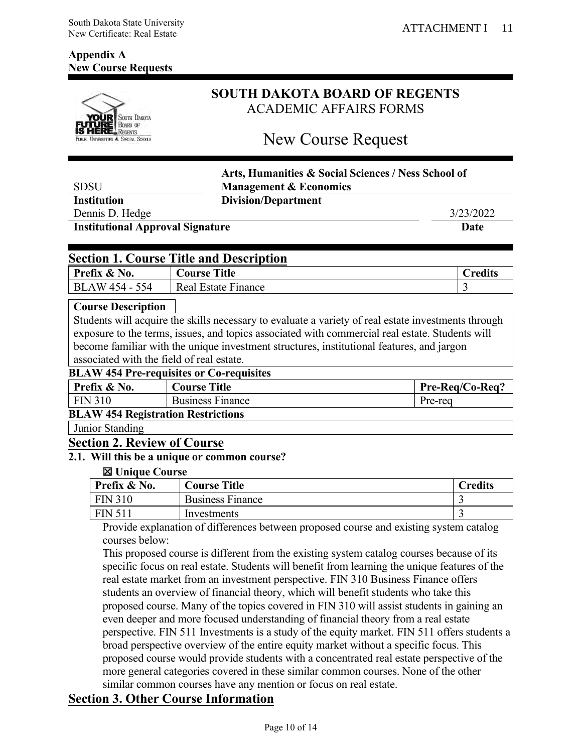# **Appendix A New Course Requests**



# **SOUTH DAKOTA BOARD OF REGENTS** ACADEMIC AFFAIRS FORMS

# New Course Request

|                                         |                                                                                                                                                                                                                                                                                                                                      | Arts, Humanities & Social Sciences / Ness School of |  |
|-----------------------------------------|--------------------------------------------------------------------------------------------------------------------------------------------------------------------------------------------------------------------------------------------------------------------------------------------------------------------------------------|-----------------------------------------------------|--|
| <b>SDSU</b>                             | <b>Management &amp; Economics</b>                                                                                                                                                                                                                                                                                                    |                                                     |  |
| <b>Institution</b>                      | <b>Division/Department</b>                                                                                                                                                                                                                                                                                                           |                                                     |  |
| Dennis D. Hedge                         |                                                                                                                                                                                                                                                                                                                                      | 3/23/2022                                           |  |
| <b>Institutional Approval Signature</b> |                                                                                                                                                                                                                                                                                                                                      | Date                                                |  |
|                                         |                                                                                                                                                                                                                                                                                                                                      |                                                     |  |
|                                         | <b>Section 1. Course Title and Description</b>                                                                                                                                                                                                                                                                                       |                                                     |  |
| Prefix & No.                            | <b>Course Title</b>                                                                                                                                                                                                                                                                                                                  | <b>Credits</b>                                      |  |
| <b>BLAW 454 - 554</b>                   | <b>Real Estate Finance</b>                                                                                                                                                                                                                                                                                                           | 3                                                   |  |
| <b>Course Description</b>               |                                                                                                                                                                                                                                                                                                                                      |                                                     |  |
|                                         | Students will acquire the skills necessary to evaluate a variety of real estate investments through                                                                                                                                                                                                                                  |                                                     |  |
|                                         | exposure to the terms, issues, and topics associated with commercial real estate. Students will<br>$\mathbf{r}$ , and the contract of the contract of the contract of the contract of the contract of the contract of the contract of the contract of the contract of the contract of the contract of the contract of the contract o |                                                     |  |

become familiar with the unique investment structures, institutional features, and jargon associated with the field of real estate.

#### **BLAW 454 Pre-requisites or Co-requisites**

| <b>DETIVE IS FITTLE IMMEDIATE</b> OF COTMUNICS                                                                                   |                         |                 |
|----------------------------------------------------------------------------------------------------------------------------------|-------------------------|-----------------|
| Prefix & No.                                                                                                                     | <b>Course Title</b>     | Pre-Reg/Co-Reg? |
| FIN 310                                                                                                                          | <b>Business Finance</b> | Pre-rea         |
| $\mathbf{D}$ $\mathbf{M}$ $\mathbf{M}$ $\mathbf{M}$ $\mathbf{L}$ $\mathbf{L}$ $\mathbf{D}$ origination $\mathbf{D}$ originations |                         |                 |

#### **BLAW 454 Registration Restrictions**

Junior Standing

#### **Section 2. Review of Course**

### **2.1. Will this be a unique or common course?**

#### ☒ **Unique Course**

| Prefix & No.   | <b>Course Title</b>     | <b>Predits</b> |
|----------------|-------------------------|----------------|
| <b>FIN 310</b> | <b>Business Finance</b> | . .            |
| <b>FIN 511</b> | Investments             |                |

Provide explanation of differences between proposed course and existing system catalog courses below:

This proposed course is different from the existing system catalog courses because of its specific focus on real estate. Students will benefit from learning the unique features of the real estate market from an investment perspective. FIN 310 Business Finance offers students an overview of financial theory, which will benefit students who take this proposed course. Many of the topics covered in FIN 310 will assist students in gaining an even deeper and more focused understanding of financial theory from a real estate perspective. FIN 511 Investments is a study of the equity market. FIN 511 offers students a broad perspective overview of the entire equity market without a specific focus. This proposed course would provide students with a concentrated real estate perspective of the more general categories covered in these similar common courses. None of the other similar common courses have any mention or focus on real estate.

# **Section 3. Other Course Information**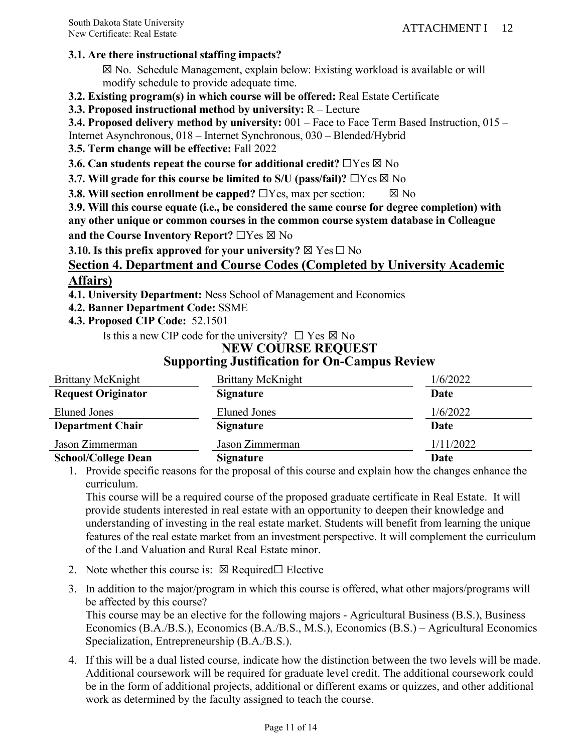# **3.1. Are there instructional staffing impacts?**

☒ No. Schedule Management, explain below: Existing workload is available or will modify schedule to provide adequate time.

**3.2. Existing program(s) in which course will be offered:** Real Estate Certificate

**3.3. Proposed instructional method by university:** R – Lecture

**3.4. Proposed delivery method by university:** 001 – Face to Face Term Based Instruction, 015 –

Internet Asynchronous, 018 – Internet Synchronous, 030 – Blended/Hybrid

**3.5. Term change will be effective:** Fall 2022

**3.6. Can students repeat the course for additional credit?** □Yes ⊠ No

**3.7. Will grade for this course be limited to S/U (pass/fail)?** □Yes ⊠ No

**3.8. Will section enrollment be capped?** □Yes, max per section:  $\boxtimes$  No

**3.9. Will this course equate (i.e., be considered the same course for degree completion) with any other unique or common courses in the common course system database in Colleague and the Course Inventory Report?** ☐Yes ☒ No

**3.10. Is this prefix approved for your university?**  $\boxtimes$  Yes  $\square$  No

# **Section 4. Department and Course Codes (Completed by University Academic Affairs)**

**4.1. University Department:** Ness School of Management and Economics

**4.2. Banner Department Code:** SSME

**4.3. Proposed CIP Code:** 52.1501

Is this a new CIP code for the university?  $\Box$  Yes  $\boxtimes$  No

#### **NEW COURSE REQUEST Supporting Justification for On-Campus Review**

| Brittany McKnight          | Brittany McKnight | 1/6/2022  |
|----------------------------|-------------------|-----------|
| <b>Request Originator</b>  | <b>Signature</b>  | Date      |
| Eluned Jones               | Eluned Jones      | 1/6/2022  |
| <b>Department Chair</b>    | <b>Signature</b>  | Date      |
| Jason Zimmerman            | Jason Zimmerman   | 1/11/2022 |
| <b>School/College Dean</b> | <b>Signature</b>  | Date      |

1. Provide specific reasons for the proposal of this course and explain how the changes enhance the curriculum.

This course will be a required course of the proposed graduate certificate in Real Estate. It will provide students interested in real estate with an opportunity to deepen their knowledge and understanding of investing in the real estate market. Students will benefit from learning the unique features of the real estate market from an investment perspective. It will complement the curriculum of the Land Valuation and Rural Real Estate minor.

- 2. Note whether this course is:  $\boxtimes$  Required $\Box$  Elective
- 3. In addition to the major/program in which this course is offered, what other majors/programs will be affected by this course?

This course may be an elective for the following majors - Agricultural Business (B.S.), Business Economics (B.A./B.S.), Economics (B.A./B.S., M.S.), Economics (B.S.) – Agricultural Economics Specialization, Entrepreneurship (B.A./B.S.).

4. If this will be a dual listed course, indicate how the distinction between the two levels will be made. Additional coursework will be required for graduate level credit. The additional coursework could be in the form of additional projects, additional or different exams or quizzes, and other additional work as determined by the faculty assigned to teach the course.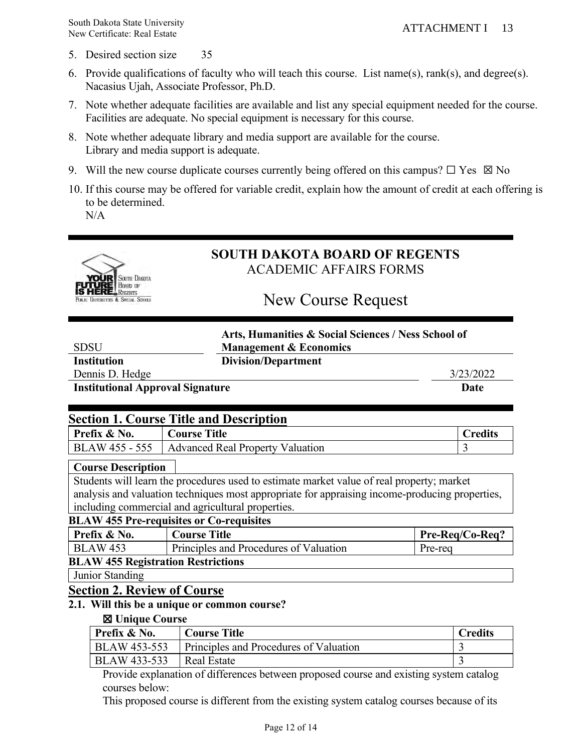- 5. Desired section size 35
- 6. Provide qualifications of faculty who will teach this course. List name(s), rank(s), and degree(s). Nacasius Ujah, Associate Professor, Ph.D.
- 7. Note whether adequate facilities are available and list any special equipment needed for the course. Facilities are adequate. No special equipment is necessary for this course.
- 8. Note whether adequate library and media support are available for the course. Library and media support is adequate.
- 9. Will the new course duplicate courses currently being offered on this campus?  $\Box$  Yes  $\boxtimes$  No
- 10. If this course may be offered for variable credit, explain how the amount of credit at each offering is to be determined.

N/A



# **SOUTH DAKOTA BOARD OF REGENTS** ACADEMIC AFFAIRS FORMS

# New Course Request

| Arts, Humanities & Social Sciences / Ness School of |  |
|-----------------------------------------------------|--|
| <b>Management &amp; Economics</b>                   |  |
| <b>Division/Department</b>                          |  |

**Institution** 

**SDSU** 

Dennis D. Hedge 3/23/2022

**Institutional Approval Signature Date** 

| <b>Section 1. Course Title and Description</b> |                                                   |                |
|------------------------------------------------|---------------------------------------------------|----------------|
| Prefix & No.                                   | <b>Course Title</b>                               | <b>Credits</b> |
|                                                | BLAW 455 - 555   Advanced Real Property Valuation |                |

## **Course Description**

Students will learn the procedures used to estimate market value of real property; market analysis and valuation techniques most appropriate for appraising income-producing properties, including commercial and agricultural properties.

#### **BLAW 455 Pre-requisites or Co-requisites**

| Prefix & No.                              | <b>Course Title</b>                    | Pre-Reg/Co-Reg? |
|-------------------------------------------|----------------------------------------|-----------------|
| <b>BLAW 453</b>                           | Principles and Procedures of Valuation | Pre-rea         |
| <b>BLAW 455 Registration Restrictions</b> |                                        |                 |

Junior Standing

# **Section 2. Review of Course**

# **2.1. Will this be a unique or common course?**

#### ☒ **Unique Course**

| Prefix & No. | <b>Course Title</b>                           | <b>Credits</b> |
|--------------|-----------------------------------------------|----------------|
| BLAW 453-553 | <b>Principles and Procedures of Valuation</b> |                |
| BLAW 433-533 | Real Estate                                   |                |

Provide explanation of differences between proposed course and existing system catalog courses below:

This proposed course is different from the existing system catalog courses because of its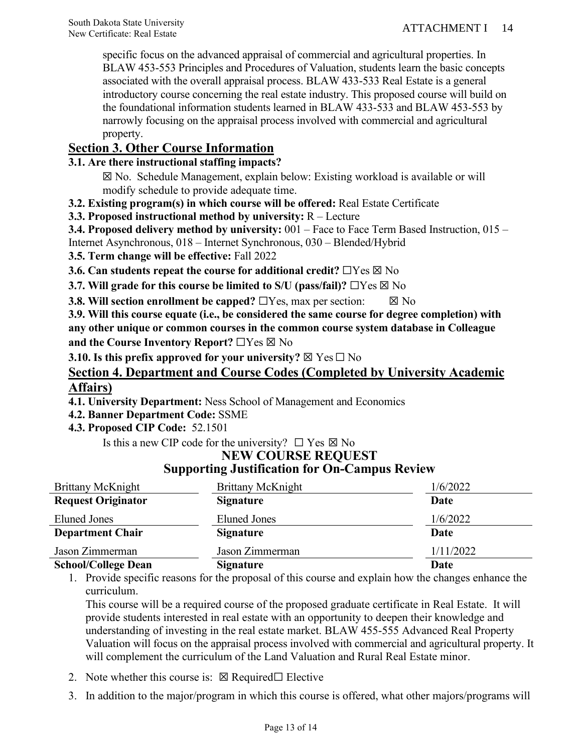specific focus on the advanced appraisal of commercial and agricultural properties. In BLAW 453-553 Principles and Procedures of Valuation, students learn the basic concepts associated with the overall appraisal process. BLAW 433-533 Real Estate is a general introductory course concerning the real estate industry. This proposed course will build on the foundational information students learned in BLAW 433-533 and BLAW 453-553 by narrowly focusing on the appraisal process involved with commercial and agricultural property.

# **Section 3. Other Course Information**

# **3.1. Are there instructional staffing impacts?**

☒ No. Schedule Management, explain below: Existing workload is available or will modify schedule to provide adequate time.

- **3.2. Existing program(s) in which course will be offered:** Real Estate Certificate
- **3.3. Proposed instructional method by university:** R Lecture

**3.4. Proposed delivery method by university:** 001 – Face to Face Term Based Instruction, 015 – Internet Asynchronous, 018 – Internet Synchronous, 030 – Blended/Hybrid

**3.5. Term change will be effective:** Fall 2022

**3.6. Can students repeat the course for additional credit?** □Yes ⊠ No

**3.7. Will grade for this course be limited to S/U (pass/fail)?** □Yes ⊠ No

**3.8. Will section enrollment be capped?**  $\Box$  Yes, max per section:  $\Box$  No

**3.9. Will this course equate (i.e., be considered the same course for degree completion) with any other unique or common courses in the common course system database in Colleague and the Course Inventory Report?** ☐Yes ☒ No

**3.10.** Is this prefix approved for your university?  $\boxtimes$  Yes  $\Box$  No

# **Section 4. Department and Course Codes (Completed by University Academic Affairs)**

**4.1. University Department:** Ness School of Management and Economics

**4.2. Banner Department Code:** SSME

**4.3. Proposed CIP Code:** 52.1501

Is this a new CIP code for the university?  $\Box$  Yes  $\boxtimes$  No

| <b>Brittany McKnight</b>   | Brittany McKnight | 1/6/2022  |  |
|----------------------------|-------------------|-----------|--|
| <b>Request Originator</b>  | <b>Signature</b>  | Date      |  |
| Eluned Jones               | Eluned Jones      | 1/6/2022  |  |
| <b>Department Chair</b>    | <b>Signature</b>  | Date      |  |
| Jason Zimmerman            | Jason Zimmerman   | 1/11/2022 |  |
| <b>School/College Dean</b> | <b>Signature</b>  | Date      |  |

# **NEW COURSE REQUEST Supporting Justification for On-Campus Review**

1. Provide specific reasons for the proposal of this course and explain how the changes enhance the curriculum.

This course will be a required course of the proposed graduate certificate in Real Estate. It will provide students interested in real estate with an opportunity to deepen their knowledge and understanding of investing in the real estate market. BLAW 455-555 Advanced Real Property Valuation will focus on the appraisal process involved with commercial and agricultural property. It will complement the curriculum of the Land Valuation and Rural Real Estate minor.

- 2. Note whether this course is:  $\boxtimes$  Required $\Box$  Elective
- 3. In addition to the major/program in which this course is offered, what other majors/programs will